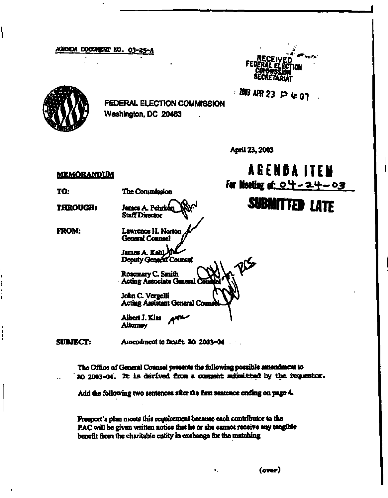## **AGENDA DQCOMSNT MP. 03-25- A**



**AGENDA ITEM** 

**SUBMITTED LATE** 

far **ideating of**  $04-24-03$ 

*Mm23 Pip* **01** 

**FEDERAL ELECTION COMMISSION Washington, DC 20463** 

**April 23,2003** 

## **MEMORANDUM**

**The Commission** 

**THROUGH:** 

**James A. Peturka** Staff Director  $\sqrt{1}$ 

**FROM:** 

**TO:** 

Lawrence H. Norton General Counsel

**James A. Kahl Deputy Generar Counsel** 

**Rosemary C. Smith Acting Associate General** 

**John C. Vergelli Acting Assistant General Couns** 

**Albert J. Kiss Attorney** , — л

**SUBJECT: Amendment to Draft AO 2003-04** 

> **The Oifice of General Counsel presents the following possible amendment to AO 2003-04. It is derived from a caransht submitted fay the requestor.**

> > $\mathcal{L}_{\mathcal{A}}$

**Add the following two sentences after the first sentence ending on page 4»** 

**Freeport's plan meets this requirement because each contributor to the PAC will be given written notice that he or she cannot receive any tangible benefit from the charitable entity in exchange for the matching**